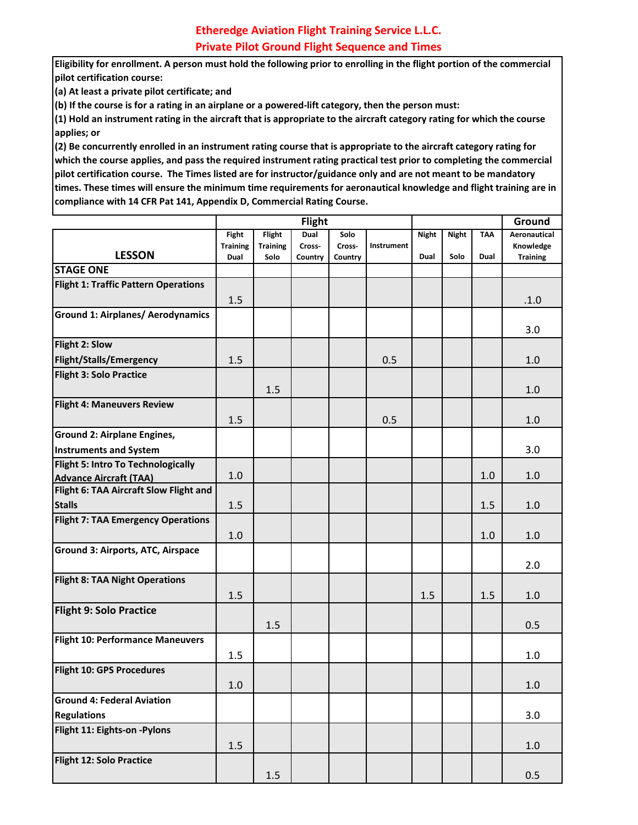**Eligibility for enrollment. A person must hold the following prior to enrolling in the flight portion of the commercial pilot certification course:**

**(a) At least a private pilot certificate; and**

**(b) If the course is for a rating in an airplane or a powered-lift category, then the person must:**

**(1) Hold an instrument rating in the aircraft that is appropriate to the aircraft category rating for which the course applies; or**

**(2) Be concurrently enrolled in an instrument rating course that is appropriate to the aircraft category rating for which the course applies, and pass the required instrument rating practical test prior to completing the commercial pilot certification course. The Times listed are for instructor/guidance only and are not meant to be mandatory times. These times will ensure the minimum time requirements for aeronautical knowledge and flight training are in compliance with 14 CFR Pat 141, Appendix D, Commercial Rating Course.**

|                                             | Flight          |                 |         |         |            |              |              | Ground     |                     |
|---------------------------------------------|-----------------|-----------------|---------|---------|------------|--------------|--------------|------------|---------------------|
|                                             | Fight           | <b>Flight</b>   | Dual    | Solo    |            | <b>Night</b> | <b>Night</b> | <b>TAA</b> | <b>Aeronautical</b> |
|                                             | <b>Training</b> | <b>Training</b> | Cross-  | Cross-  | Instrument |              |              |            | Knowledge           |
| <b>LESSON</b>                               | Dual            | Solo            | Country | Country |            | Dual         | Solo         | Dual       | <b>Training</b>     |
| <b>STAGE ONE</b>                            |                 |                 |         |         |            |              |              |            |                     |
| <b>Flight 1: Traffic Pattern Operations</b> |                 |                 |         |         |            |              |              |            |                     |
|                                             | 1.5             |                 |         |         |            |              |              |            | .1.0                |
| <b>Ground 1: Airplanes/ Aerodynamics</b>    |                 |                 |         |         |            |              |              |            | 3.0                 |
| Flight 2: Slow                              |                 |                 |         |         |            |              |              |            |                     |
| <b>Flight/Stalls/Emergency</b>              | 1.5             |                 |         |         | 0.5        |              |              |            | 1.0                 |
| <b>Flight 3: Solo Practice</b>              |                 |                 |         |         |            |              |              |            |                     |
|                                             |                 | 1.5             |         |         |            |              |              |            | 1.0                 |
| <b>Flight 4: Maneuvers Review</b>           |                 |                 |         |         |            |              |              |            |                     |
|                                             | 1.5             |                 |         |         | 0.5        |              |              |            | 1.0                 |
| <b>Ground 2: Airplane Engines,</b>          |                 |                 |         |         |            |              |              |            |                     |
| <b>Instruments and System</b>               |                 |                 |         |         |            |              |              |            | 3.0                 |
| Flight 5: Intro To Technologically          |                 |                 |         |         |            |              |              |            |                     |
| <b>Advance Aircraft (TAA)</b>               | 1.0             |                 |         |         |            |              |              | 1.0        | 1.0                 |
| Flight 6: TAA Aircraft Slow Flight and      |                 |                 |         |         |            |              |              |            |                     |
| <b>Stalls</b>                               | 1.5             |                 |         |         |            |              |              | 1.5        | 1.0                 |
| <b>Flight 7: TAA Emergency Operations</b>   |                 |                 |         |         |            |              |              |            |                     |
|                                             | 1.0             |                 |         |         |            |              |              | 1.0        | 1.0                 |
| <b>Ground 3: Airports, ATC, Airspace</b>    |                 |                 |         |         |            |              |              |            |                     |
|                                             |                 |                 |         |         |            |              |              |            | 2.0                 |
| <b>Flight 8: TAA Night Operations</b>       |                 |                 |         |         |            |              |              |            |                     |
|                                             | 1.5             |                 |         |         |            | 1.5          |              | 1.5        | 1.0                 |
| <b>Flight 9: Solo Practice</b>              |                 |                 |         |         |            |              |              |            |                     |
|                                             |                 | 1.5             |         |         |            |              |              |            | 0.5                 |
| <b>Flight 10: Performance Maneuvers</b>     |                 |                 |         |         |            |              |              |            |                     |
|                                             | 1.5             |                 |         |         |            |              |              |            | 1.0                 |
| Flight 10: GPS Procedures                   |                 |                 |         |         |            |              |              |            |                     |
|                                             | 1.0             |                 |         |         |            |              |              |            | 1.0                 |
| <b>Ground 4: Federal Aviation</b>           |                 |                 |         |         |            |              |              |            |                     |
| <b>Regulations</b>                          |                 |                 |         |         |            |              |              |            | 3.0                 |
| Flight 11: Eights-on -Pylons                |                 |                 |         |         |            |              |              |            |                     |
|                                             | 1.5             |                 |         |         |            |              |              |            | 1.0                 |
| Flight 12: Solo Practice                    |                 |                 |         |         |            |              |              |            |                     |
|                                             |                 | 1.5             |         |         |            |              |              |            | 0.5                 |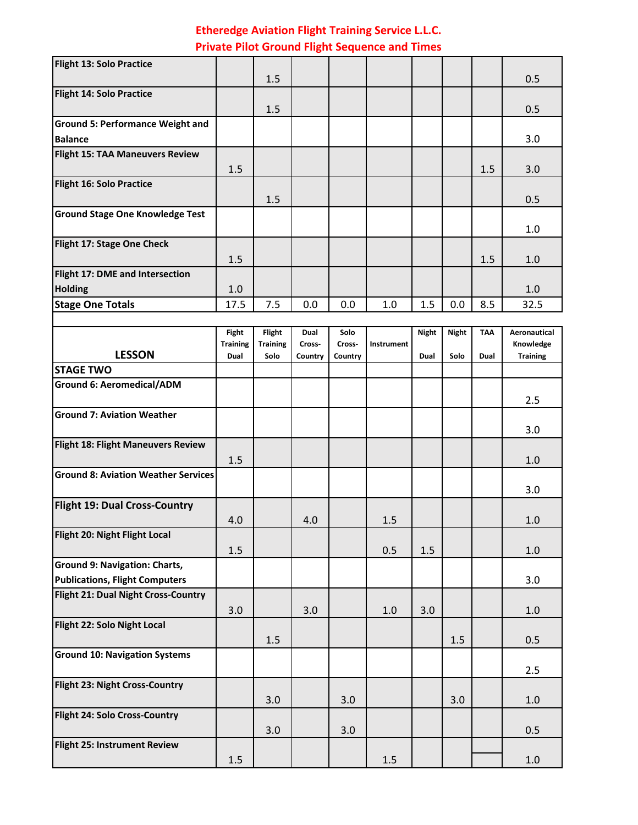| <b>Flight 13: Solo Practice</b>         |      |     |     |     |     |     |     |     |      |
|-----------------------------------------|------|-----|-----|-----|-----|-----|-----|-----|------|
|                                         |      | 1.5 |     |     |     |     |     |     | 0.5  |
| <b>Flight 14: Solo Practice</b>         |      |     |     |     |     |     |     |     |      |
|                                         |      | 1.5 |     |     |     |     |     |     | 0.5  |
| <b>Ground 5: Performance Weight and</b> |      |     |     |     |     |     |     |     |      |
| <b>Balance</b>                          |      |     |     |     |     |     |     |     | 3.0  |
| <b>Flight 15: TAA Maneuvers Review</b>  |      |     |     |     |     |     |     |     |      |
|                                         | 1.5  |     |     |     |     |     |     | 1.5 | 3.0  |
| <b>Flight 16: Solo Practice</b>         |      |     |     |     |     |     |     |     |      |
|                                         |      | 1.5 |     |     |     |     |     |     | 0.5  |
| <b>Ground Stage One Knowledge Test</b>  |      |     |     |     |     |     |     |     |      |
|                                         |      |     |     |     |     |     |     |     | 1.0  |
| Flight 17: Stage One Check              |      |     |     |     |     |     |     |     |      |
|                                         | 1.5  |     |     |     |     |     |     | 1.5 | 1.0  |
| Flight 17: DME and Intersection         |      |     |     |     |     |     |     |     |      |
| <b>Holding</b>                          | 1.0  |     |     |     |     |     |     |     | 1.0  |
| <b>Stage One Totals</b>                 | 17.5 | 7.5 | 0.0 | 0.0 | 1.0 | 1.5 | 0.0 | 8.5 | 32.5 |
|                                         |      |     |     |     |     |     |     |     |      |
|                                         |      |     |     |     |     |     |     |     |      |

|                                            | Fight           | Flight          | Dual    | Solo    |            | <b>Night</b> | <b>Night</b> | <b>TAA</b> | <b>Aeronautical</b> |
|--------------------------------------------|-----------------|-----------------|---------|---------|------------|--------------|--------------|------------|---------------------|
|                                            | <b>Training</b> | <b>Training</b> | Cross-  | Cross-  | Instrument |              |              |            | Knowledge           |
| <b>LESSON</b>                              | Dual            | Solo            | Country | Country |            | Dual         | Solo         | Dual       | <b>Training</b>     |
| <b>STAGE TWO</b>                           |                 |                 |         |         |            |              |              |            |                     |
| <b>Ground 6: Aeromedical/ADM</b>           |                 |                 |         |         |            |              |              |            |                     |
|                                            |                 |                 |         |         |            |              |              |            | 2.5                 |
| <b>Ground 7: Aviation Weather</b>          |                 |                 |         |         |            |              |              |            |                     |
|                                            |                 |                 |         |         |            |              |              |            | 3.0                 |
| Flight 18: Flight Maneuvers Review         |                 |                 |         |         |            |              |              |            |                     |
|                                            | 1.5             |                 |         |         |            |              |              |            | 1.0                 |
| <b>Ground 8: Aviation Weather Services</b> |                 |                 |         |         |            |              |              |            |                     |
|                                            |                 |                 |         |         |            |              |              |            | 3.0                 |
| <b>Flight 19: Dual Cross-Country</b>       |                 |                 |         |         |            |              |              |            |                     |
|                                            | 4.0             |                 | 4.0     |         | 1.5        |              |              |            | 1.0                 |
| Flight 20: Night Flight Local              |                 |                 |         |         |            |              |              |            |                     |
|                                            | 1.5             |                 |         |         | 0.5        | 1.5          |              |            | 1.0                 |
| <b>Ground 9: Navigation: Charts,</b>       |                 |                 |         |         |            |              |              |            |                     |
| <b>Publications, Flight Computers</b>      |                 |                 |         |         |            |              |              |            | 3.0                 |
| <b>Flight 21: Dual Night Cross-Country</b> |                 |                 |         |         |            |              |              |            |                     |
|                                            | 3.0             |                 | 3.0     |         | 1.0        | 3.0          |              |            | 1.0                 |
| Flight 22: Solo Night Local                |                 |                 |         |         |            |              |              |            |                     |
|                                            |                 | 1.5             |         |         |            |              | 1.5          |            | 0.5                 |
| <b>Ground 10: Navigation Systems</b>       |                 |                 |         |         |            |              |              |            |                     |
|                                            |                 |                 |         |         |            |              |              |            | 2.5                 |
| Flight 23: Night Cross-Country             |                 |                 |         |         |            |              |              |            |                     |
|                                            |                 | 3.0             |         | 3.0     |            |              | 3.0          |            | 1.0                 |
| <b>Flight 24: Solo Cross-Country</b>       |                 |                 |         |         |            |              |              |            |                     |
|                                            |                 | 3.0             |         | 3.0     |            |              |              |            | 0.5                 |
| <b>Flight 25: Instrument Review</b>        |                 |                 |         |         |            |              |              |            |                     |
|                                            | 1.5             |                 |         |         | 1.5        |              |              |            | 1.0                 |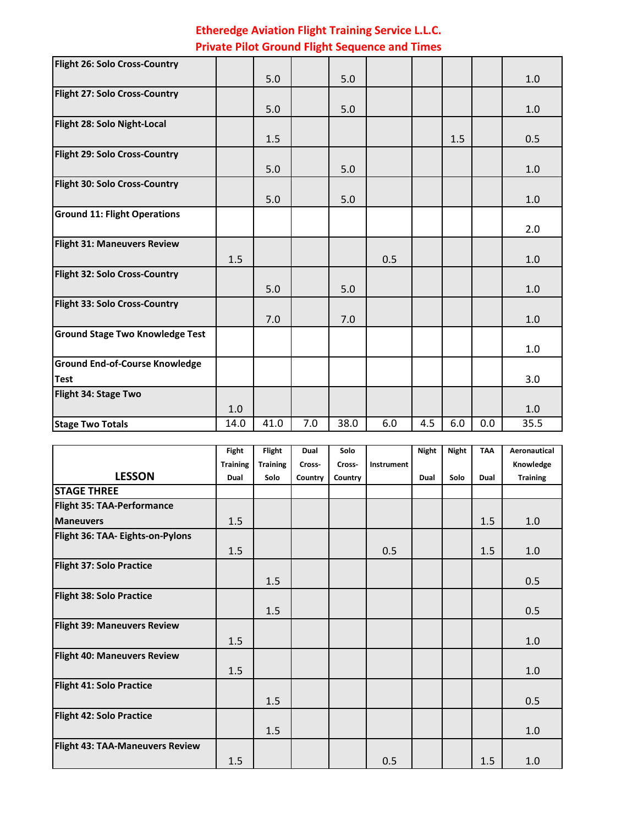| Flight 26: Solo Cross-Country          |      |      |     |      |     |     |     |     |         |
|----------------------------------------|------|------|-----|------|-----|-----|-----|-----|---------|
|                                        |      | 5.0  |     | 5.0  |     |     |     |     | 1.0     |
| <b>Flight 27: Solo Cross-Country</b>   |      |      |     |      |     |     |     |     |         |
|                                        |      | 5.0  |     | 5.0  |     |     |     |     | 1.0     |
| Flight 28: Solo Night-Local            |      |      |     |      |     |     |     |     |         |
|                                        |      | 1.5  |     |      |     |     | 1.5 |     | 0.5     |
| Flight 29: Solo Cross-Country          |      |      |     |      |     |     |     |     |         |
|                                        |      | 5.0  |     | 5.0  |     |     |     |     | 1.0     |
| Flight 30: Solo Cross-Country          |      |      |     |      |     |     |     |     |         |
|                                        |      | 5.0  |     | 5.0  |     |     |     |     | 1.0     |
| <b>Ground 11: Flight Operations</b>    |      |      |     |      |     |     |     |     |         |
|                                        |      |      |     |      |     |     |     |     | 2.0     |
| <b>Flight 31: Maneuvers Review</b>     |      |      |     |      |     |     |     |     |         |
|                                        | 1.5  |      |     |      | 0.5 |     |     |     | 1.0     |
| Flight 32: Solo Cross-Country          |      |      |     |      |     |     |     |     |         |
|                                        |      | 5.0  |     | 5.0  |     |     |     |     | 1.0     |
| Flight 33: Solo Cross-Country          |      |      |     |      |     |     |     |     |         |
|                                        |      | 7.0  |     | 7.0  |     |     |     |     | 1.0     |
| <b>Ground Stage Two Knowledge Test</b> |      |      |     |      |     |     |     |     |         |
|                                        |      |      |     |      |     |     |     |     | $1.0\,$ |
| <b>Ground End-of-Course Knowledge</b>  |      |      |     |      |     |     |     |     |         |
| <b>Test</b>                            |      |      |     |      |     |     |     |     | 3.0     |
| Flight 34: Stage Two                   |      |      |     |      |     |     |     |     |         |
|                                        | 1.0  |      |     |      |     |     |     |     | 1.0     |
| <b>Stage Two Totals</b>                | 14.0 | 41.0 | 7.0 | 38.0 | 6.0 | 4.5 | 6.0 | 0.0 | 35.5    |

|                                         | <b>Fight</b>    | Flight          | Dual    | Solo    |            | <b>Night</b> | <b>Night</b> | <b>TAA</b> | <b>Aeronautical</b> |
|-----------------------------------------|-----------------|-----------------|---------|---------|------------|--------------|--------------|------------|---------------------|
|                                         | <b>Training</b> | <b>Training</b> | Cross-  | Cross-  | Instrument |              |              |            | Knowledge           |
| <b>LESSON</b>                           | Dual            | Solo            | Country | Country |            | Dual         | Solo         | Dual       | <b>Training</b>     |
| <b>STAGE THREE</b>                      |                 |                 |         |         |            |              |              |            |                     |
| <b>Flight 35: TAA-Performance</b>       |                 |                 |         |         |            |              |              |            |                     |
| <b>Maneuvers</b>                        | 1.5             |                 |         |         |            |              |              | 1.5        | 1.0                 |
| <b>Flight 36: TAA- Eights-on-Pylons</b> |                 |                 |         |         |            |              |              |            |                     |
|                                         | 1.5             |                 |         |         | 0.5        |              |              | 1.5        | 1.0                 |
| <b>Flight 37: Solo Practice</b>         |                 |                 |         |         |            |              |              |            |                     |
|                                         |                 | 1.5             |         |         |            |              |              |            | 0.5                 |
| <b>Flight 38: Solo Practice</b>         |                 |                 |         |         |            |              |              |            |                     |
|                                         |                 | 1.5             |         |         |            |              |              |            | 0.5                 |
| <b>Flight 39: Maneuvers Review</b>      |                 |                 |         |         |            |              |              |            |                     |
|                                         | 1.5             |                 |         |         |            |              |              |            | 1.0                 |
| <b>Flight 40: Maneuvers Review</b>      |                 |                 |         |         |            |              |              |            |                     |
|                                         | 1.5             |                 |         |         |            |              |              |            | 1.0                 |
| Flight 41: Solo Practice                |                 |                 |         |         |            |              |              |            |                     |
|                                         |                 | 1.5             |         |         |            |              |              |            | 0.5                 |
| <b>Flight 42: Solo Practice</b>         |                 |                 |         |         |            |              |              |            |                     |
|                                         |                 | 1.5             |         |         |            |              |              |            | 1.0                 |
| <b>Flight 43: TAA-Maneuvers Review</b>  |                 |                 |         |         |            |              |              |            |                     |
|                                         | 1.5             |                 |         |         | 0.5        |              |              | 1.5        | 1.0                 |